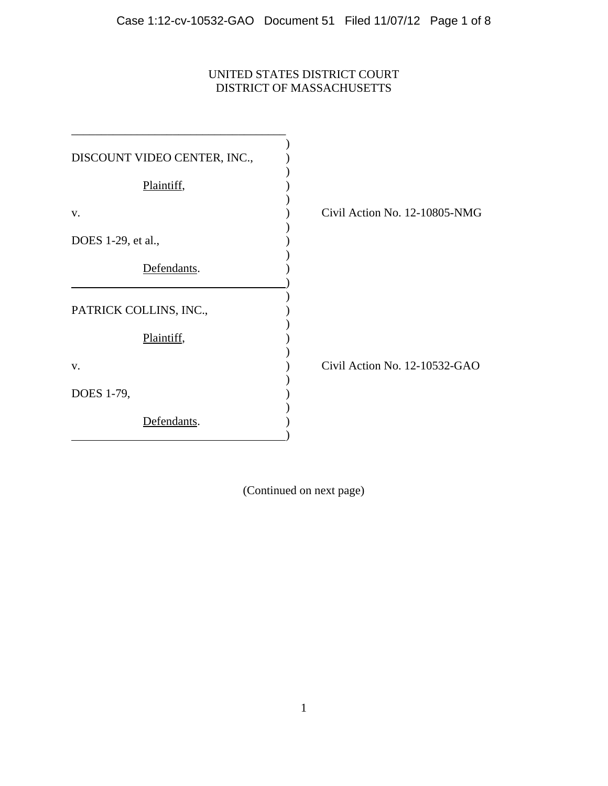# UNITED STATES DISTRICT COURT DISTRICT OF MASSACHUSETTS

| DISCOUNT VIDEO CENTER, INC., |                               |
|------------------------------|-------------------------------|
| Plaintiff,                   |                               |
| V.                           | Civil Action No. 12-10805-NMG |
| DOES 1-29, et al.,           |                               |
| Defendants.                  |                               |
| PATRICK COLLINS, INC.,       |                               |
| Plaintiff,                   |                               |
| V.                           | Civil Action No. 12-10532-GAO |
| DOES 1-79,                   |                               |
| Defendants.                  |                               |

(Continued on next page)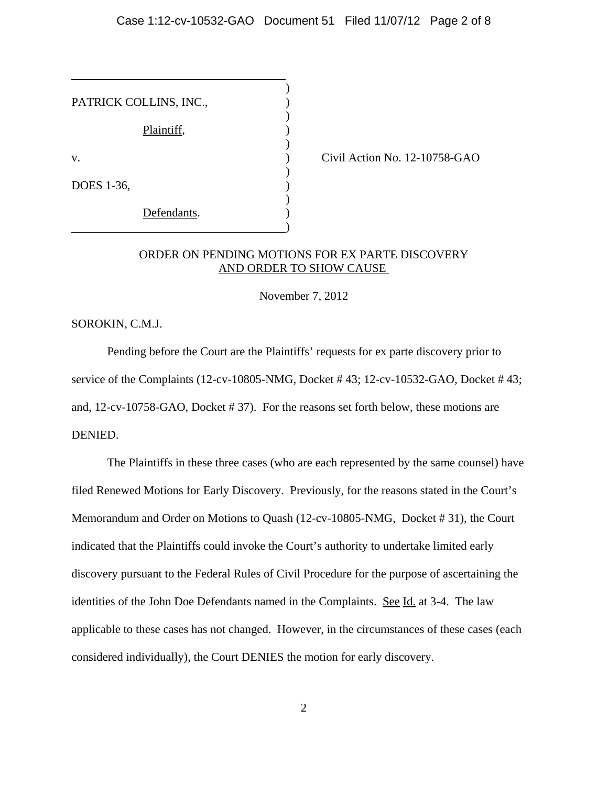) PATRICK COLLINS, INC., ) Plaintiff, ) v. Civil Action No. 12-10758-GAO ) DOES 1-36, ) ) Defendants.  $\qquad \qquad \qquad \qquad$ 

## ORDER ON PENDING MOTIONS FOR EX PARTE DISCOVERY AND ORDER TO SHOW CAUSE

November 7, 2012

SOROKIN, C.M.J.

 $\overline{a}$ 

Pending before the Court are the Plaintiffs' requests for ex parte discovery prior to service of the Complaints (12-cv-10805-NMG, Docket # 43; 12-cv-10532-GAO, Docket # 43; and, 12-cv-10758-GAO, Docket # 37). For the reasons set forth below, these motions are DENIED.

The Plaintiffs in these three cases (who are each represented by the same counsel) have filed Renewed Motions for Early Discovery. Previously, for the reasons stated in the Court's Memorandum and Order on Motions to Quash (12-cv-10805-NMG, Docket # 31), the Court indicated that the Plaintiffs could invoke the Court's authority to undertake limited early discovery pursuant to the Federal Rules of Civil Procedure for the purpose of ascertaining the identities of the John Doe Defendants named in the Complaints. See Id. at 3-4. The law applicable to these cases has not changed. However, in the circumstances of these cases (each considered individually), the Court DENIES the motion for early discovery.

2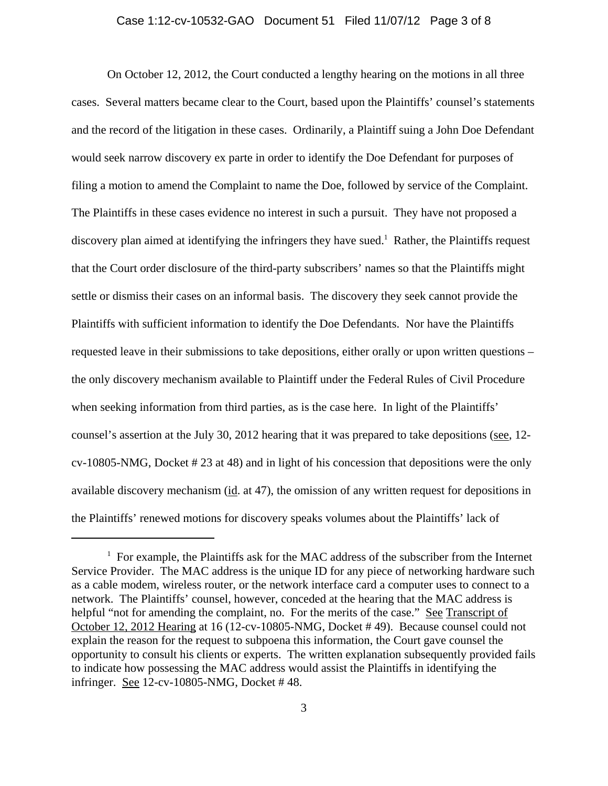#### Case 1:12-cv-10532-GAO Document 51 Filed 11/07/12 Page 3 of 8

On October 12, 2012, the Court conducted a lengthy hearing on the motions in all three cases. Several matters became clear to the Court, based upon the Plaintiffs' counsel's statements and the record of the litigation in these cases. Ordinarily, a Plaintiff suing a John Doe Defendant would seek narrow discovery ex parte in order to identify the Doe Defendant for purposes of filing a motion to amend the Complaint to name the Doe, followed by service of the Complaint. The Plaintiffs in these cases evidence no interest in such a pursuit. They have not proposed a discovery plan aimed at identifying the infringers they have sued.<sup>1</sup> Rather, the Plaintiffs request that the Court order disclosure of the third-party subscribers' names so that the Plaintiffs might settle or dismiss their cases on an informal basis. The discovery they seek cannot provide the Plaintiffs with sufficient information to identify the Doe Defendants. Nor have the Plaintiffs requested leave in their submissions to take depositions, either orally or upon written questions – the only discovery mechanism available to Plaintiff under the Federal Rules of Civil Procedure when seeking information from third parties, as is the case here. In light of the Plaintiffs' counsel's assertion at the July 30, 2012 hearing that it was prepared to take depositions (see, 12cv-10805-NMG, Docket # 23 at 48) and in light of his concession that depositions were the only available discovery mechanism (id. at 47), the omission of any written request for depositions in the Plaintiffs' renewed motions for discovery speaks volumes about the Plaintiffs' lack of

 $1$  For example, the Plaintiffs ask for the MAC address of the subscriber from the Internet Service Provider. The MAC address is the unique ID for any piece of networking hardware such as a cable modem, wireless router, or the network interface card a computer uses to connect to a network. The Plaintiffs' counsel, however, conceded at the hearing that the MAC address is helpful "not for amending the complaint, no. For the merits of the case." See Transcript of October 12, 2012 Hearing at 16 (12-cv-10805-NMG, Docket # 49). Because counsel could not explain the reason for the request to subpoena this information, the Court gave counsel the opportunity to consult his clients or experts. The written explanation subsequently provided fails to indicate how possessing the MAC address would assist the Plaintiffs in identifying the infringer. See 12-cv-10805-NMG, Docket # 48.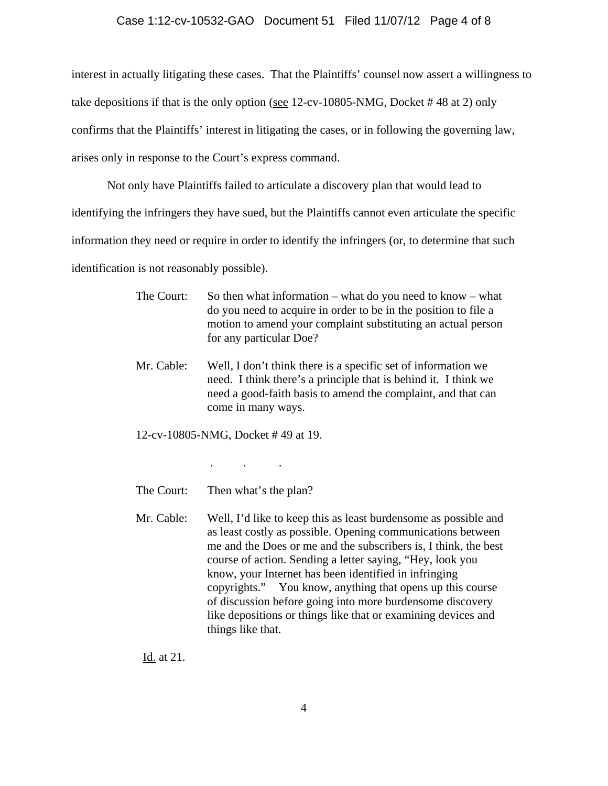#### Case 1:12-cv-10532-GAO Document 51 Filed 11/07/12 Page 4 of 8

interest in actually litigating these cases. That the Plaintiffs' counsel now assert a willingness to take depositions if that is the only option (see 12-cv-10805-NMG, Docket # 48 at 2) only confirms that the Plaintiffs' interest in litigating the cases, or in following the governing law, arises only in response to the Court's express command.

Not only have Plaintiffs failed to articulate a discovery plan that would lead to identifying the infringers they have sued, but the Plaintiffs cannot even articulate the specific information they need or require in order to identify the infringers (or, to determine that such identification is not reasonably possible).

> The Court: So then what information – what do you need to know – what do you need to acquire in order to be in the position to file a motion to amend your complaint substituting an actual person for any particular Doe?

Mr. Cable: Well, I don't think there is a specific set of information we need. I think there's a principle that is behind it. I think we need a good-faith basis to amend the complaint, and that can come in many ways.

12-cv-10805-NMG, Docket # 49 at 19.

. . .

The Court: Then what's the plan?

Mr. Cable: Well, I'd like to keep this as least burdensome as possible and as least costly as possible. Opening communications between me and the Does or me and the subscribers is, I think, the best course of action. Sending a letter saying, "Hey, look you know, your Internet has been identified in infringing copyrights." You know, anything that opens up this course of discussion before going into more burdensome discovery like depositions or things like that or examining devices and things like that.

Id. at 21.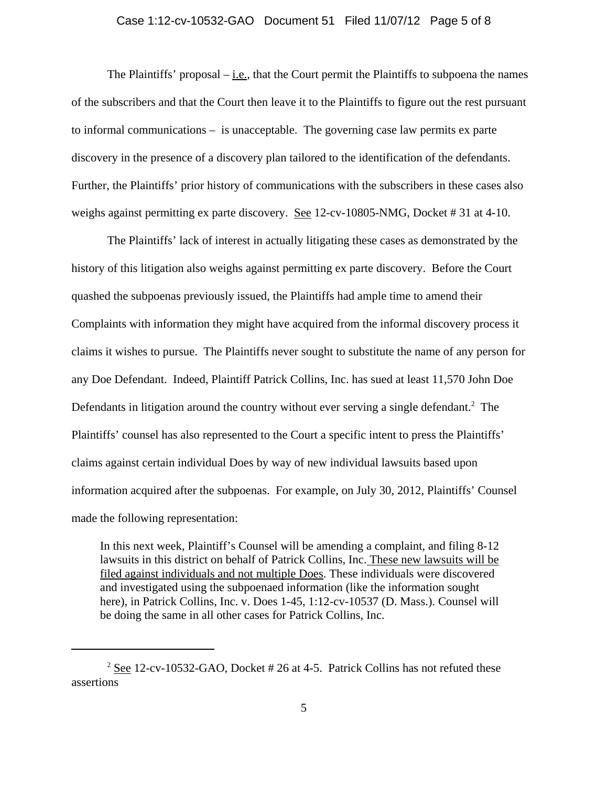#### Case 1:12-cv-10532-GAO Document 51 Filed 11/07/12 Page 5 of 8

The Plaintiffs' proposal  $-\underline{i.e.}$ , that the Court permit the Plaintiffs to subpoena the names of the subscribers and that the Court then leave it to the Plaintiffs to figure out the rest pursuant to informal communications – is unacceptable. The governing case law permits ex parte discovery in the presence of a discovery plan tailored to the identification of the defendants. Further, the Plaintiffs' prior history of communications with the subscribers in these cases also weighs against permitting ex parte discovery. See 12-cv-10805-NMG, Docket # 31 at 4-10.

The Plaintiffs' lack of interest in actually litigating these cases as demonstrated by the history of this litigation also weighs against permitting ex parte discovery. Before the Court quashed the subpoenas previously issued, the Plaintiffs had ample time to amend their Complaints with information they might have acquired from the informal discovery process it claims it wishes to pursue. The Plaintiffs never sought to substitute the name of any person for any Doe Defendant. Indeed, Plaintiff Patrick Collins, Inc. has sued at least 11,570 John Doe Defendants in litigation around the country without ever serving a single defendant.<sup>2</sup> The Plaintiffs' counsel has also represented to the Court a specific intent to press the Plaintiffs' claims against certain individual Does by way of new individual lawsuits based upon information acquired after the subpoenas. For example, on July 30, 2012, Plaintiffs' Counsel made the following representation:

In this next week, Plaintiff's Counsel will be amending a complaint, and filing 8-12 lawsuits in this district on behalf of Patrick Collins, Inc. These new lawsuits will be filed against individuals and not multiple Does. These individuals were discovered and investigated using the subpoenaed information (like the information sought here), in Patrick Collins, Inc. v. Does 1-45, 1:12-cv-10537 (D. Mass.). Counsel will be doing the same in all other cases for Patrick Collins, Inc.

 $2 \text{ See } 12$ -cv-10532-GAO, Docket # 26 at 4-5. Patrick Collins has not refuted these assertions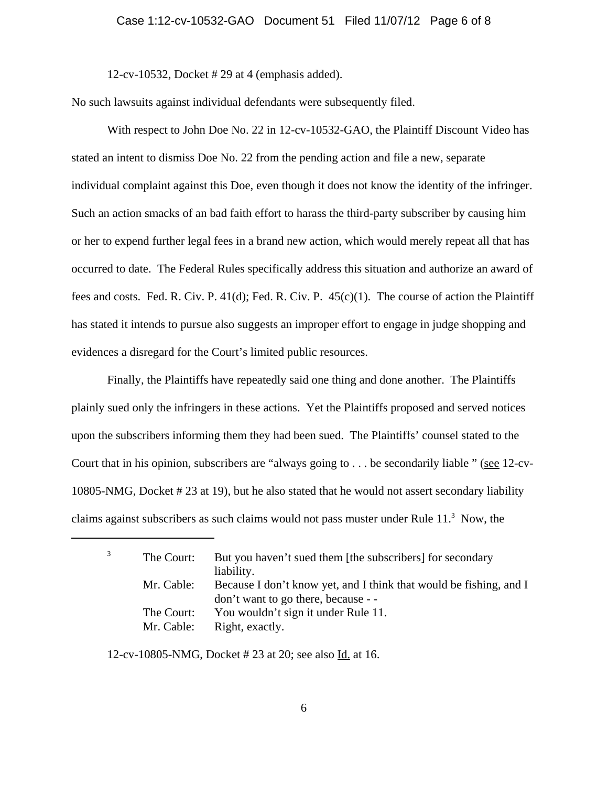#### Case 1:12-cv-10532-GAO Document 51 Filed 11/07/12 Page 6 of 8

12-cv-10532, Docket # 29 at 4 (emphasis added).

No such lawsuits against individual defendants were subsequently filed.

With respect to John Doe No. 22 in 12-cv-10532-GAO, the Plaintiff Discount Video has stated an intent to dismiss Doe No. 22 from the pending action and file a new, separate individual complaint against this Doe, even though it does not know the identity of the infringer. Such an action smacks of an bad faith effort to harass the third-party subscriber by causing him or her to expend further legal fees in a brand new action, which would merely repeat all that has occurred to date. The Federal Rules specifically address this situation and authorize an award of fees and costs. Fed. R. Civ. P. 41(d); Fed. R. Civ. P. 45(c)(1). The course of action the Plaintiff has stated it intends to pursue also suggests an improper effort to engage in judge shopping and evidences a disregard for the Court's limited public resources.

Finally, the Plaintiffs have repeatedly said one thing and done another. The Plaintiffs plainly sued only the infringers in these actions. Yet the Plaintiffs proposed and served notices upon the subscribers informing them they had been sued. The Plaintiffs' counsel stated to the Court that in his opinion, subscribers are "always going to . . . be secondarily liable " (see 12-cv-10805-NMG, Docket # 23 at 19), but he also stated that he would not assert secondary liability claims against subscribers as such claims would not pass muster under Rule  $11<sup>3</sup>$  Now, the

| The Court: | But you haven't sued them [the subscribers] for secondary          |
|------------|--------------------------------------------------------------------|
|            | liability.                                                         |
| Mr. Cable: | Because I don't know yet, and I think that would be fishing, and I |
|            | don't want to go there, because - -                                |
| The Court: | You wouldn't sign it under Rule 11.                                |
| Mr. Cable: | Right, exactly.                                                    |
|            |                                                                    |

12-cv-10805-NMG, Docket # 23 at 20; see also Id. at 16.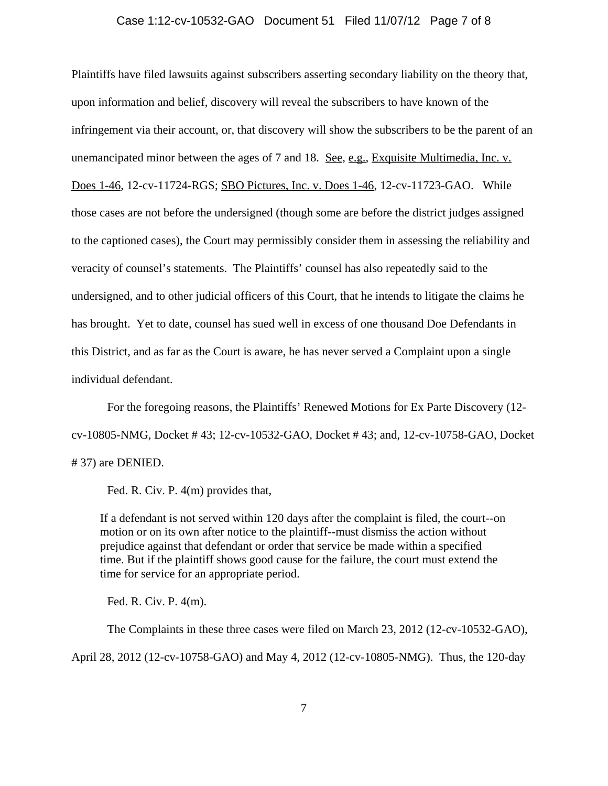#### Case 1:12-cv-10532-GAO Document 51 Filed 11/07/12 Page 7 of 8

Plaintiffs have filed lawsuits against subscribers asserting secondary liability on the theory that, upon information and belief, discovery will reveal the subscribers to have known of the infringement via their account, or, that discovery will show the subscribers to be the parent of an unemancipated minor between the ages of 7 and 18. See, e.g., Exquisite Multimedia, Inc. v. Does 1-46, 12-cv-11724-RGS; SBO Pictures, Inc. v. Does 1-46, 12-cv-11723-GAO. While those cases are not before the undersigned (though some are before the district judges assigned to the captioned cases), the Court may permissibly consider them in assessing the reliability and veracity of counsel's statements. The Plaintiffs' counsel has also repeatedly said to the undersigned, and to other judicial officers of this Court, that he intends to litigate the claims he has brought. Yet to date, counsel has sued well in excess of one thousand Doe Defendants in this District, and as far as the Court is aware, he has never served a Complaint upon a single individual defendant.

For the foregoing reasons, the Plaintiffs' Renewed Motions for Ex Parte Discovery (12 cv-10805-NMG, Docket # 43; 12-cv-10532-GAO, Docket # 43; and, 12-cv-10758-GAO, Docket # 37) are DENIED.

Fed. R. Civ. P. 4(m) provides that,

If a defendant is not served within 120 days after the complaint is filed, the court--on motion or on its own after notice to the plaintiff--must dismiss the action without prejudice against that defendant or order that service be made within a specified time. But if the plaintiff shows good cause for the failure, the court must extend the time for service for an appropriate period.

Fed. R. Civ. P. 4(m).

The Complaints in these three cases were filed on March 23, 2012 (12-cv-10532-GAO), April 28, 2012 (12-cv-10758-GAO) and May 4, 2012 (12-cv-10805-NMG). Thus, the 120-day